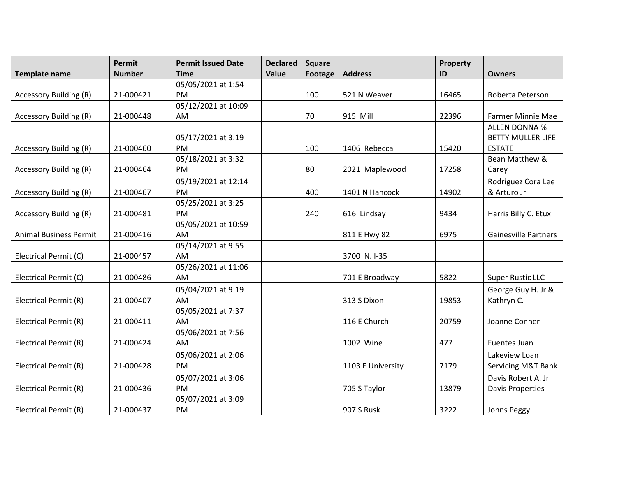|                               | <b>Permit</b> | <b>Permit Issued Date</b> | <b>Declared</b> | <b>Square</b>  |                   | Property |                             |
|-------------------------------|---------------|---------------------------|-----------------|----------------|-------------------|----------|-----------------------------|
| <b>Template name</b>          | <b>Number</b> | <b>Time</b>               | Value           | <b>Footage</b> | <b>Address</b>    | ID       | <b>Owners</b>               |
|                               |               | 05/05/2021 at 1:54        |                 |                |                   |          |                             |
| <b>Accessory Building (R)</b> | 21-000421     | PM                        |                 | 100            | 521 N Weaver      | 16465    | Roberta Peterson            |
|                               |               | 05/12/2021 at 10:09       |                 |                |                   |          |                             |
| <b>Accessory Building (R)</b> | 21-000448     | AM                        |                 | 70             | 915 Mill          | 22396    | <b>Farmer Minnie Mae</b>    |
|                               |               |                           |                 |                |                   |          | <b>ALLEN DONNA %</b>        |
|                               |               | 05/17/2021 at 3:19        |                 |                |                   |          | <b>BETTY MULLER LIFE</b>    |
| <b>Accessory Building (R)</b> | 21-000460     | <b>PM</b>                 |                 | 100            | 1406 Rebecca      | 15420    | <b>ESTATE</b>               |
|                               |               | 05/18/2021 at 3:32        |                 |                |                   |          | Bean Matthew &              |
| <b>Accessory Building (R)</b> | 21-000464     | PM.                       |                 | 80             | 2021 Maplewood    | 17258    | Carey                       |
|                               |               | 05/19/2021 at 12:14       |                 |                |                   |          | Rodriguez Cora Lee          |
| <b>Accessory Building (R)</b> | 21-000467     | PM                        |                 | 400            | 1401 N Hancock    | 14902    | & Arturo Jr                 |
|                               |               | 05/25/2021 at 3:25        |                 |                |                   |          |                             |
| <b>Accessory Building (R)</b> | 21-000481     | PM                        |                 | 240            | 616 Lindsay       | 9434     | Harris Billy C. Etux        |
|                               |               | 05/05/2021 at 10:59       |                 |                |                   |          |                             |
| <b>Animal Business Permit</b> | 21-000416     | AM.                       |                 |                | 811 E Hwy 82      | 6975     | <b>Gainesville Partners</b> |
|                               |               | 05/14/2021 at 9:55        |                 |                |                   |          |                             |
| Electrical Permit (C)         | 21-000457     | AM                        |                 |                | 3700 N.I-35       |          |                             |
|                               |               | 05/26/2021 at 11:06       |                 |                |                   |          |                             |
| Electrical Permit (C)         | 21-000486     | AM                        |                 |                | 701 E Broadway    | 5822     | <b>Super Rustic LLC</b>     |
|                               |               | 05/04/2021 at 9:19        |                 |                |                   |          | George Guy H. Jr &          |
| Electrical Permit (R)         | 21-000407     | AM                        |                 |                | 313 S Dixon       | 19853    | Kathryn C.                  |
|                               |               | 05/05/2021 at 7:37        |                 |                |                   |          |                             |
| Electrical Permit (R)         | 21-000411     | AM.                       |                 |                | 116 E Church      | 20759    | Joanne Conner               |
|                               |               | 05/06/2021 at 7:56        |                 |                |                   |          |                             |
| Electrical Permit (R)         | 21-000424     | AM                        |                 |                | 1002 Wine         | 477      | Fuentes Juan                |
|                               |               | 05/06/2021 at 2:06        |                 |                |                   |          | Lakeview Loan               |
| Electrical Permit (R)         | 21-000428     | <b>PM</b>                 |                 |                | 1103 E University | 7179     | Servicing M&T Bank          |
|                               |               | 05/07/2021 at 3:06        |                 |                |                   |          | Davis Robert A. Jr          |
| Electrical Permit (R)         | 21-000436     | <b>PM</b>                 |                 |                | 705 S Taylor      | 13879    | <b>Davis Properties</b>     |
|                               |               | 05/07/2021 at 3:09        |                 |                |                   |          |                             |
| Electrical Permit (R)         | 21-000437     | PM                        |                 |                | <b>907 S Rusk</b> | 3222     | <b>Johns Peggy</b>          |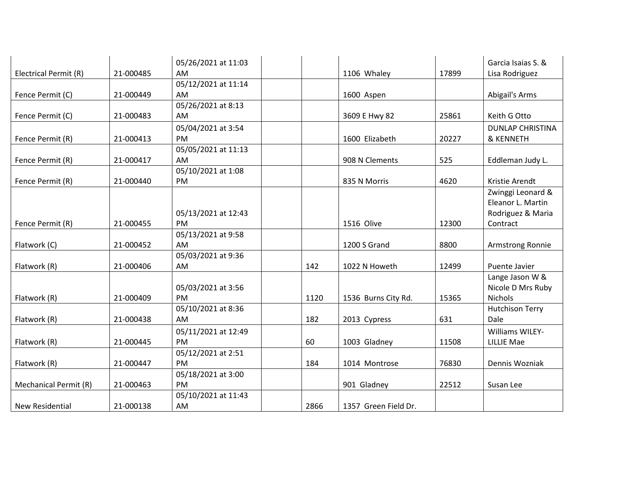|                        |           | 05/26/2021 at 11:03 |      |                      |       | Garcia Isaias S. &      |
|------------------------|-----------|---------------------|------|----------------------|-------|-------------------------|
| Electrical Permit (R)  | 21-000485 | AM                  |      | 1106 Whaley          | 17899 | Lisa Rodriguez          |
|                        |           | 05/12/2021 at 11:14 |      |                      |       |                         |
| Fence Permit (C)       | 21-000449 | AM                  |      | 1600 Aspen           |       | Abigail's Arms          |
|                        |           | 05/26/2021 at 8:13  |      |                      |       |                         |
| Fence Permit (C)       | 21-000483 | AM                  |      | 3609 E Hwy 82        | 25861 | Keith G Otto            |
|                        |           | 05/04/2021 at 3:54  |      |                      |       | <b>DUNLAP CHRISTINA</b> |
| Fence Permit (R)       | 21-000413 | <b>PM</b>           |      | 1600 Elizabeth       | 20227 | & KENNETH               |
|                        |           | 05/05/2021 at 11:13 |      |                      |       |                         |
| Fence Permit (R)       | 21-000417 | AM                  |      | 908 N Clements       | 525   | Eddleman Judy L.        |
|                        |           | 05/10/2021 at 1:08  |      |                      |       |                         |
| Fence Permit (R)       | 21-000440 | <b>PM</b>           |      | 835 N Morris         | 4620  | Kristie Arendt          |
|                        |           |                     |      |                      |       | Zwinggi Leonard &       |
|                        |           |                     |      |                      |       | Eleanor L. Martin       |
|                        |           | 05/13/2021 at 12:43 |      |                      |       | Rodriguez & Maria       |
| Fence Permit (R)       | 21-000455 | PM.                 |      | 1516 Olive           | 12300 | Contract                |
|                        |           | 05/13/2021 at 9:58  |      |                      |       |                         |
| Flatwork (C)           | 21-000452 | AM                  |      | 1200 S Grand         | 8800  | Armstrong Ronnie        |
|                        |           | 05/03/2021 at 9:36  |      |                      |       |                         |
| Flatwork (R)           | 21-000406 | AM                  | 142  | 1022 N Howeth        | 12499 | Puente Javier           |
|                        |           |                     |      |                      |       | Lange Jason W &         |
|                        |           | 05/03/2021 at 3:56  |      |                      |       | Nicole D Mrs Ruby       |
| Flatwork (R)           | 21-000409 | PM                  | 1120 | 1536 Burns City Rd.  | 15365 | Nichols                 |
|                        |           | 05/10/2021 at 8:36  |      |                      |       | <b>Hutchison Terry</b>  |
| Flatwork (R)           | 21-000438 | AM                  | 182  | 2013 Cypress         | 631   | Dale                    |
|                        |           | 05/11/2021 at 12:49 |      |                      |       | <b>Williams WILEY-</b>  |
| Flatwork (R)           | 21-000445 | <b>PM</b>           | 60   | 1003 Gladney         | 11508 | <b>LILLIE Mae</b>       |
|                        |           | 05/12/2021 at 2:51  |      |                      |       |                         |
| Flatwork (R)           | 21-000447 | <b>PM</b>           | 184  | 1014 Montrose        | 76830 | Dennis Wozniak          |
|                        |           | 05/18/2021 at 3:00  |      |                      |       |                         |
| Mechanical Permit (R)  | 21-000463 | <b>PM</b>           |      | 901 Gladney          | 22512 | Susan Lee               |
|                        |           | 05/10/2021 at 11:43 |      |                      |       |                         |
| <b>New Residential</b> | 21-000138 | AM                  | 2866 | 1357 Green Field Dr. |       |                         |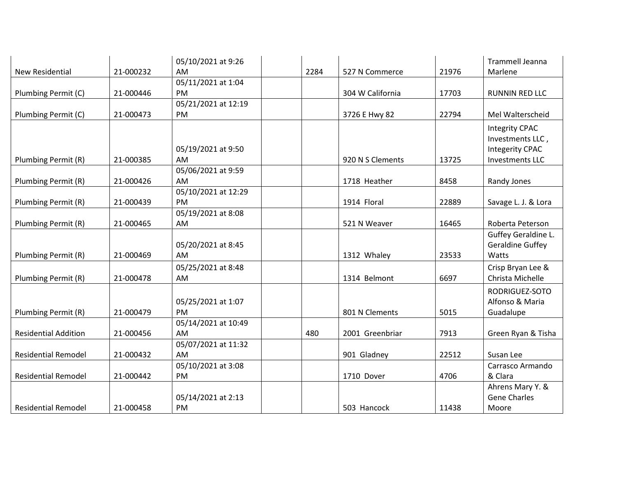|                             |           | 05/10/2021 at 9:26  |      |                  |       | <b>Trammell Jeanna</b>  |
|-----------------------------|-----------|---------------------|------|------------------|-------|-------------------------|
| <b>New Residential</b>      | 21-000232 | AM                  | 2284 | 527 N Commerce   | 21976 | Marlene                 |
|                             |           | 05/11/2021 at 1:04  |      |                  |       |                         |
| Plumbing Permit (C)         | 21-000446 | <b>PM</b>           |      | 304 W California | 17703 | <b>RUNNIN RED LLC</b>   |
|                             |           | 05/21/2021 at 12:19 |      |                  |       |                         |
| Plumbing Permit (C)         | 21-000473 | PM                  |      | 3726 E Hwy 82    | 22794 | Mel Walterscheid        |
|                             |           |                     |      |                  |       | <b>Integrity CPAC</b>   |
|                             |           |                     |      |                  |       | Investments LLC,        |
|                             |           | 05/19/2021 at 9:50  |      |                  |       | <b>Integerity CPAC</b>  |
| Plumbing Permit (R)         | 21-000385 | AM                  |      | 920 N S Clements | 13725 | <b>Investments LLC</b>  |
|                             |           | 05/06/2021 at 9:59  |      |                  |       |                         |
| Plumbing Permit (R)         | 21-000426 | AM                  |      | 1718 Heather     | 8458  | Randy Jones             |
|                             |           | 05/10/2021 at 12:29 |      |                  |       |                         |
| Plumbing Permit (R)         | 21-000439 | PM                  |      | 1914 Floral      | 22889 | Savage L. J. & Lora     |
|                             |           | 05/19/2021 at 8:08  |      |                  |       |                         |
| Plumbing Permit (R)         | 21-000465 | AM                  |      | 521 N Weaver     | 16465 | Roberta Peterson        |
|                             |           |                     |      |                  |       | Guffey Geraldine L.     |
|                             |           | 05/20/2021 at 8:45  |      |                  |       | <b>Geraldine Guffey</b> |
| Plumbing Permit (R)         | 21-000469 | AM                  |      | 1312 Whaley      | 23533 | Watts                   |
|                             |           | 05/25/2021 at 8:48  |      |                  |       | Crisp Bryan Lee &       |
| Plumbing Permit (R)         | 21-000478 | AM                  |      | 1314 Belmont     | 6697  | Christa Michelle        |
|                             |           |                     |      |                  |       | RODRIGUEZ-SOTO          |
|                             |           | 05/25/2021 at 1:07  |      |                  |       | Alfonso & Maria         |
| Plumbing Permit (R)         | 21-000479 | PM                  |      | 801 N Clements   | 5015  | Guadalupe               |
|                             |           | 05/14/2021 at 10:49 |      |                  |       |                         |
| <b>Residential Addition</b> | 21-000456 | AM                  | 480  | 2001 Greenbriar  | 7913  | Green Ryan & Tisha      |
|                             |           | 05/07/2021 at 11:32 |      |                  |       |                         |
| <b>Residential Remodel</b>  | 21-000432 | AM                  |      | 901 Gladney      | 22512 | Susan Lee               |
|                             |           | 05/10/2021 at 3:08  |      |                  |       | Carrasco Armando        |
| <b>Residential Remodel</b>  | 21-000442 | PM                  |      | 1710 Dover       | 4706  | & Clara                 |
|                             |           |                     |      |                  |       | Ahrens Mary Y. &        |
|                             |           | 05/14/2021 at 2:13  |      |                  |       | <b>Gene Charles</b>     |
| <b>Residential Remodel</b>  | 21-000458 | PM                  |      | 503 Hancock      | 11438 | Moore                   |